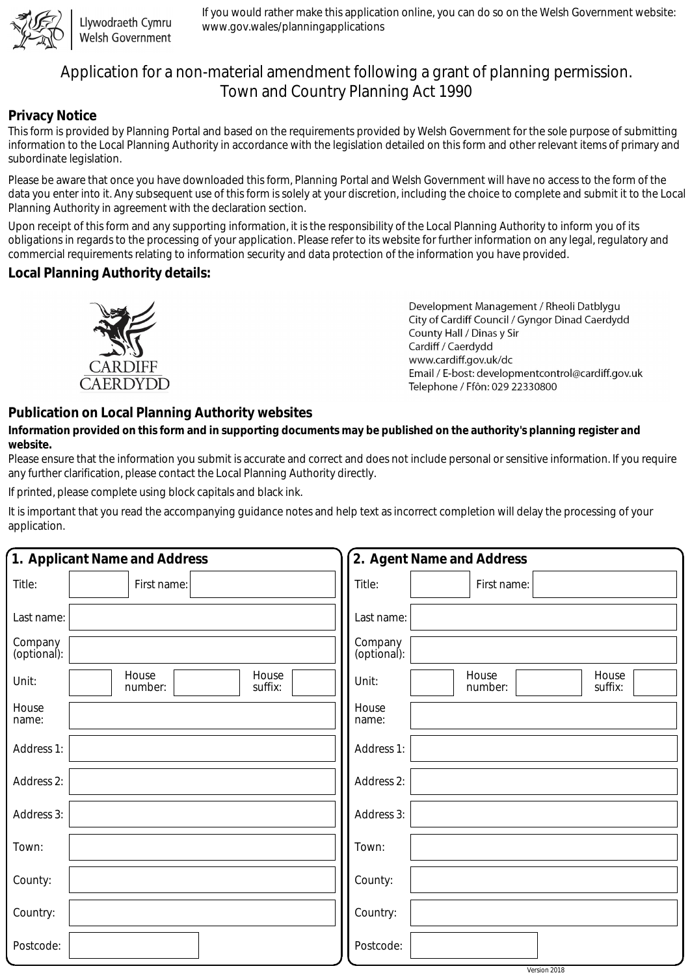

Llywodraeth Cymru Welsh Government

If you would rather make this application online, you can do so on the Welsh Government website: www.gov.wales/planningapplications

# Application for a non-material amendment following a grant of planning permission. Town and Country Planning Act 1990

#### **Privacy Notice**

This form is provided by Planning Portal and based on the requirements provided by Welsh Government for the sole purpose of submitting information to the Local Planning Authority in accordance with the legislation detailed on this form and other relevant items of primary and subordinate legislation.

Please be aware that once you have downloaded this form, Planning Portal and Welsh Government will have no access to the form of the data you enter into it. Any subsequent use of this form is solely at your discretion, including the choice to complete and submit it to the Local Planning Authority in agreement with the declaration section.

Upon receipt of this form and any supporting information, it is the responsibility of the Local Planning Authority to inform you of its obligations in regards to the processing of your application. Please refer to its website for further information on any legal, regulatory and commercial requirements relating to information security and data protection of the information you have provided.

### **Local Planning Authority details:**



Development Management / Rheoli Datblygu City of Cardiff Council / Gyngor Dinad Caerdydd County Hall / Dinas y Sir Cardiff / Caerdydd www.cardiff.gov.uk/dc Email / E-bost: developmentcontrol@cardiff.gov.uk Telephone / Ffôn: 029 22330800

## **Publication on Local Planning Authority websites**

#### **Information provided on this form and in supporting documents may be published on the authority's planning register and website.**

Please ensure that the information you submit is accurate and correct and does not include personal or sensitive information. If you require any further clarification, please contact the Local Planning Authority directly.

If printed, please complete using block capitals and black ink.

It is important that you read the accompanying guidance notes and help text as incorrect completion will delay the processing of your application.

| 1. Applicant Name and Address |                                      | 2. Agent Name and Address                     |
|-------------------------------|--------------------------------------|-----------------------------------------------|
| Title:                        | First name:                          | Title:<br>First name:                         |
| Last name:                    |                                      | Last name:                                    |
| Company<br>(optional):        |                                      | Company<br>(optional):                        |
| Unit:                         | House<br>House<br>suffix:<br>number: | House<br>House<br>Unit:<br>suffix:<br>number: |
| House<br>name:                |                                      | House<br>name:                                |
| Address 1:                    |                                      | Address 1:                                    |
| Address 2:                    |                                      | Address 2:                                    |
| Address 3:                    |                                      | Address 3:                                    |
| Town:                         |                                      | Town:                                         |
| County:                       |                                      | County:                                       |
| Country:                      |                                      | Country:                                      |
| Postcode:                     |                                      | Postcode:                                     |
|                               |                                      | Version 2018                                  |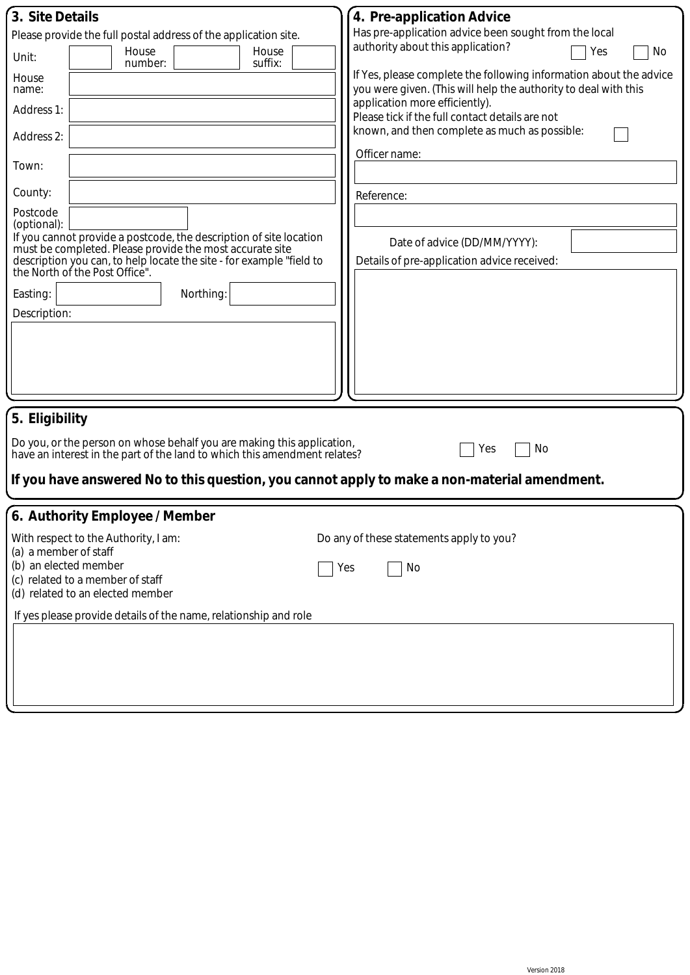| 3. Site Details                                                                                                                                                                                                                                                     | 4. Pre-application Advice                                                                                                             |  |  |  |
|---------------------------------------------------------------------------------------------------------------------------------------------------------------------------------------------------------------------------------------------------------------------|---------------------------------------------------------------------------------------------------------------------------------------|--|--|--|
| Please provide the full postal address of the application site.                                                                                                                                                                                                     | Has pre-application advice been sought from the local                                                                                 |  |  |  |
| House<br>House<br>Unit:<br>suffix:<br>number:                                                                                                                                                                                                                       | authority about this application?<br>Yes<br>No                                                                                        |  |  |  |
| House<br>name:                                                                                                                                                                                                                                                      | If Yes, please complete the following information about the advice<br>you were given. (This will help the authority to deal with this |  |  |  |
| Address 1:                                                                                                                                                                                                                                                          | application more efficiently).<br>Please tick if the full contact details are not                                                     |  |  |  |
| Address 2:                                                                                                                                                                                                                                                          | known, and then complete as much as possible:<br>Officer name:                                                                        |  |  |  |
| Town:                                                                                                                                                                                                                                                               |                                                                                                                                       |  |  |  |
| County:                                                                                                                                                                                                                                                             | Reference:                                                                                                                            |  |  |  |
| Postcode<br>(optional):<br>If you cannot provide a postcode, the description of site location<br>must be completed. Please provide the most accurate site<br>description you can, to help locate the site - for example "field to<br>the North of the Post Office". | Date of advice (DD/MM/YYYY):<br>Details of pre-application advice received:                                                           |  |  |  |
| Easting:<br>Northing:                                                                                                                                                                                                                                               |                                                                                                                                       |  |  |  |
| Description:                                                                                                                                                                                                                                                        |                                                                                                                                       |  |  |  |
|                                                                                                                                                                                                                                                                     |                                                                                                                                       |  |  |  |
| 5. Eligibility                                                                                                                                                                                                                                                      |                                                                                                                                       |  |  |  |
| Do you, or the person on whose behalf you are making this application,<br>No<br>Yes<br>have an interest in the part of the land to which this amendment relates?                                                                                                    |                                                                                                                                       |  |  |  |
| If you have answered No to this question, you cannot apply to make a non-material amendment.                                                                                                                                                                        |                                                                                                                                       |  |  |  |
| 6. Authority Employee / Member                                                                                                                                                                                                                                      |                                                                                                                                       |  |  |  |
| With respect to the Authority, I am:<br>(a) a member of staff                                                                                                                                                                                                       | Do any of these statements apply to you?                                                                                              |  |  |  |
| (b) an elected member<br>No<br>Yes<br>(c) related to a member of staff<br>(d) related to an elected member                                                                                                                                                          |                                                                                                                                       |  |  |  |
| If yes please provide details of the name, relationship and role                                                                                                                                                                                                    |                                                                                                                                       |  |  |  |
|                                                                                                                                                                                                                                                                     |                                                                                                                                       |  |  |  |
|                                                                                                                                                                                                                                                                     |                                                                                                                                       |  |  |  |
|                                                                                                                                                                                                                                                                     |                                                                                                                                       |  |  |  |
|                                                                                                                                                                                                                                                                     |                                                                                                                                       |  |  |  |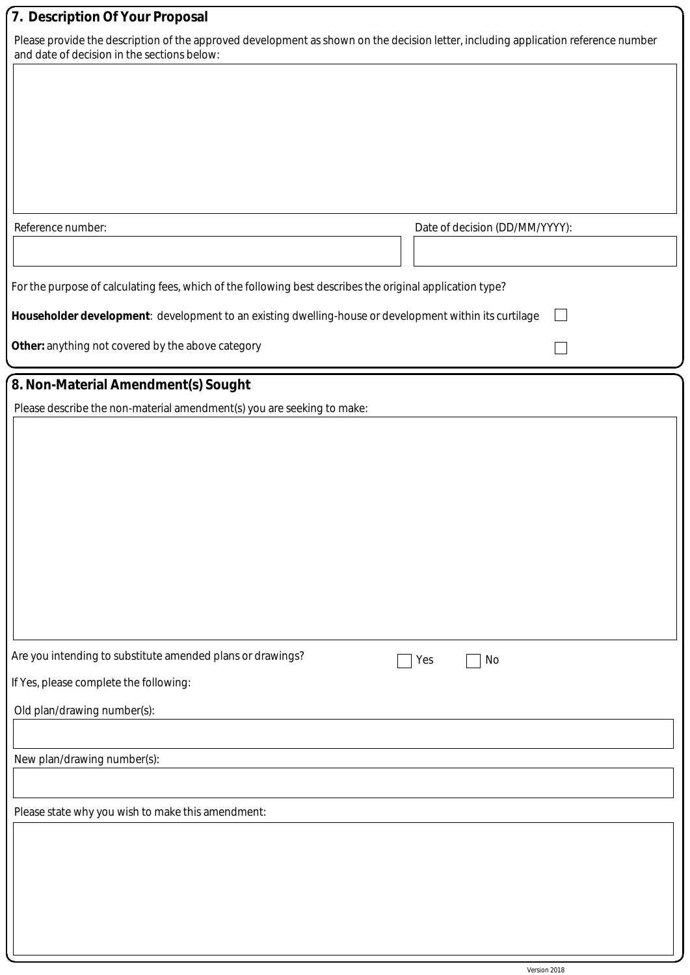# **7. Description Of Your Proposal**

Please provide the description of the approved development as shown on the decision letter, including application reference number and date of decision in the sections below:

| Reference number:                                                                                            | Date of decision (DD/MM/YYYY): |  |  |  |
|--------------------------------------------------------------------------------------------------------------|--------------------------------|--|--|--|
| For the purpose of calculating fees, which of the following best describes the original application type?    |                                |  |  |  |
| Householder development: development to an existing dwelling-house or development within its curtilage<br>l. |                                |  |  |  |
| Other: anything not covered by the above category                                                            |                                |  |  |  |
| 8. Non-Material Amendment(s) Sought                                                                          |                                |  |  |  |
| Please describe the non-material amendment(s) you are seeking to make:                                       |                                |  |  |  |
|                                                                                                              |                                |  |  |  |
|                                                                                                              |                                |  |  |  |
|                                                                                                              |                                |  |  |  |
|                                                                                                              |                                |  |  |  |
|                                                                                                              |                                |  |  |  |
|                                                                                                              |                                |  |  |  |
|                                                                                                              |                                |  |  |  |
| Are you intending to substitute amended plans or drawings?<br>No<br>Yes                                      |                                |  |  |  |
| If Yes, please complete the following:<br>Old plan/drawing number(s):                                        |                                |  |  |  |
|                                                                                                              |                                |  |  |  |
| New plan/drawing number(s):                                                                                  |                                |  |  |  |
|                                                                                                              |                                |  |  |  |
| Please state why you wish to make this amendment:                                                            |                                |  |  |  |
|                                                                                                              |                                |  |  |  |
|                                                                                                              |                                |  |  |  |
|                                                                                                              |                                |  |  |  |
|                                                                                                              |                                |  |  |  |